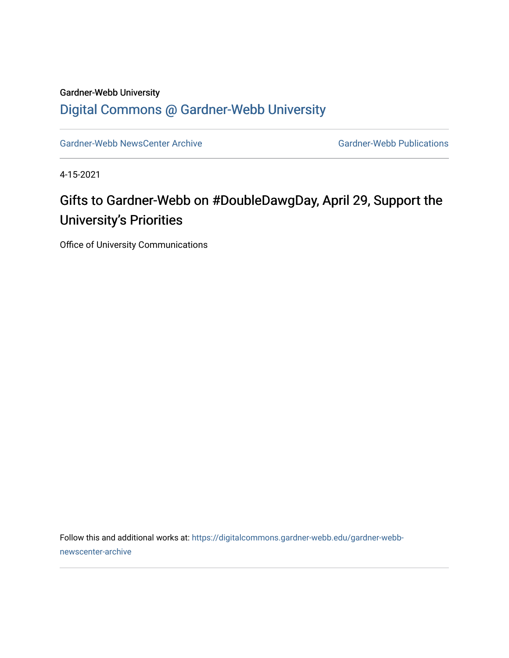#### Gardner-Webb University

#### [Digital Commons @ Gardner-Webb University](https://digitalcommons.gardner-webb.edu/)

[Gardner-Webb NewsCenter Archive](https://digitalcommons.gardner-webb.edu/gardner-webb-newscenter-archive) Gardner-Webb Publications

4-15-2021

### Gifts to Gardner-Webb on #DoubleDawgDay, April 29, Support the University's Priorities

Office of University Communications

Follow this and additional works at: [https://digitalcommons.gardner-webb.edu/gardner-webb](https://digitalcommons.gardner-webb.edu/gardner-webb-newscenter-archive?utm_source=digitalcommons.gardner-webb.edu%2Fgardner-webb-newscenter-archive%2F2136&utm_medium=PDF&utm_campaign=PDFCoverPages)[newscenter-archive](https://digitalcommons.gardner-webb.edu/gardner-webb-newscenter-archive?utm_source=digitalcommons.gardner-webb.edu%2Fgardner-webb-newscenter-archive%2F2136&utm_medium=PDF&utm_campaign=PDFCoverPages)